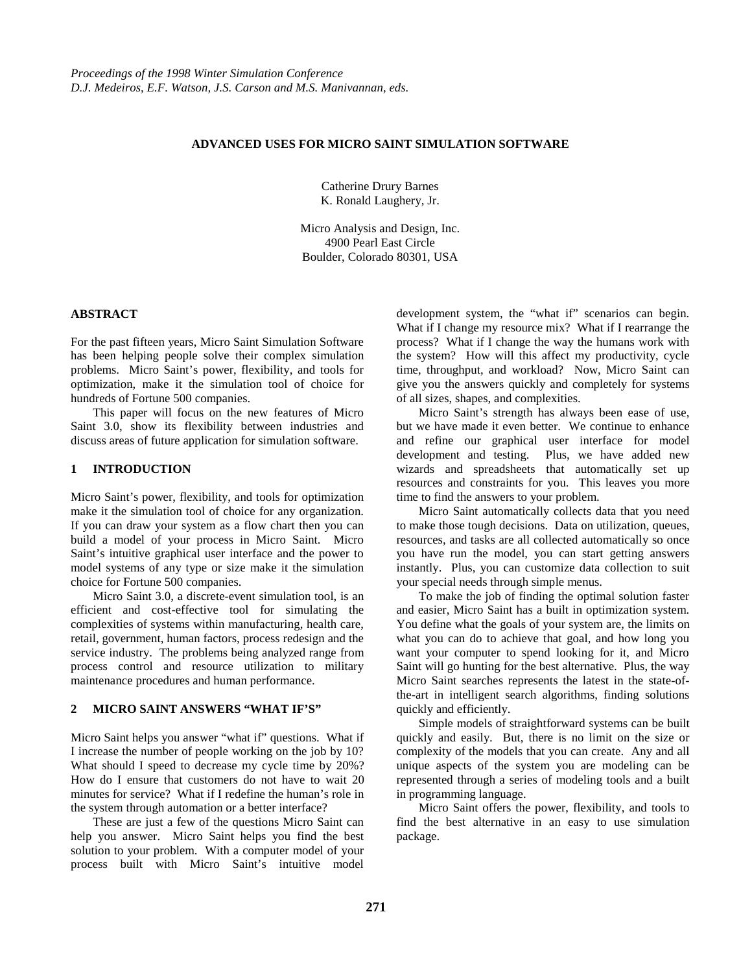# **ADVANCED USES FOR MICRO SAINT SIMULATION SOFTWARE**

Catherine Drury Barnes K. Ronald Laughery, Jr.

Micro Analysis and Design, Inc. 4900 Pearl East Circle Boulder, Colorado 80301, USA

# **ABSTRACT**

For the past fifteen years, Micro Saint Simulation Software has been helping people solve their complex simulation problems. Micro Saint's power, flexibility, and tools for optimization, make it the simulation tool of choice for hundreds of Fortune 500 companies.

This paper will focus on the new features of Micro Saint 3.0, show its flexibility between industries and discuss areas of future application for simulation software.

### **1 INTRODUCTION**

Micro Saint's power, flexibility, and tools for optimization make it the simulation tool of choice for any organization. If you can draw your system as a flow chart then you can build a model of your process in Micro Saint. Micro Saint's intuitive graphical user interface and the power to model systems of any type or size make it the simulation choice for Fortune 500 companies.

Micro Saint 3.0, a discrete-event simulation tool, is an efficient and cost-effective tool for simulating the complexities of systems within manufacturing, health care, retail, government, human factors, process redesign and the service industry. The problems being analyzed range from process control and resource utilization to military maintenance procedures and human performance.

### **2 MICRO SAINT ANSWERS "WHAT IF'S"**

Micro Saint helps you answer "what if" questions. What if I increase the number of people working on the job by 10? What should I speed to decrease my cycle time by 20%? How do I ensure that customers do not have to wait 20 minutes for service? What if I redefine the human's role in the system through automation or a better interface?

These are just a few of the questions Micro Saint can help you answer. Micro Saint helps you find the best solution to your problem. With a computer model of your process built with Micro Saint's intuitive model

development system, the "what if" scenarios can begin. What if I change my resource mix? What if I rearrange the process? What if I change the way the humans work with the system? How will this affect my productivity, cycle time, throughput, and workload? Now, Micro Saint can give you the answers quickly and completely for systems of all sizes, shapes, and complexities.

Micro Saint's strength has always been ease of use, but we have made it even better. We continue to enhance and refine our graphical user interface for model development and testing. Plus, we have added new wizards and spreadsheets that automatically set up resources and constraints for you. This leaves you more time to find the answers to your problem.

Micro Saint automatically collects data that you need to make those tough decisions. Data on utilization, queues, resources, and tasks are all collected automatically so once you have run the model, you can start getting answers instantly. Plus, you can customize data collection to suit your special needs through simple menus.

To make the job of finding the optimal solution faster and easier, Micro Saint has a built in optimization system. You define what the goals of your system are, the limits on what you can do to achieve that goal, and how long you want your computer to spend looking for it, and Micro Saint will go hunting for the best alternative. Plus, the way Micro Saint searches represents the latest in the state-ofthe-art in intelligent search algorithms, finding solutions quickly and efficiently.

Simple models of straightforward systems can be built quickly and easily. But, there is no limit on the size or complexity of the models that you can create. Any and all unique aspects of the system you are modeling can be represented through a series of modeling tools and a built in programming language.

Micro Saint offers the power, flexibility, and tools to find the best alternative in an easy to use simulation package.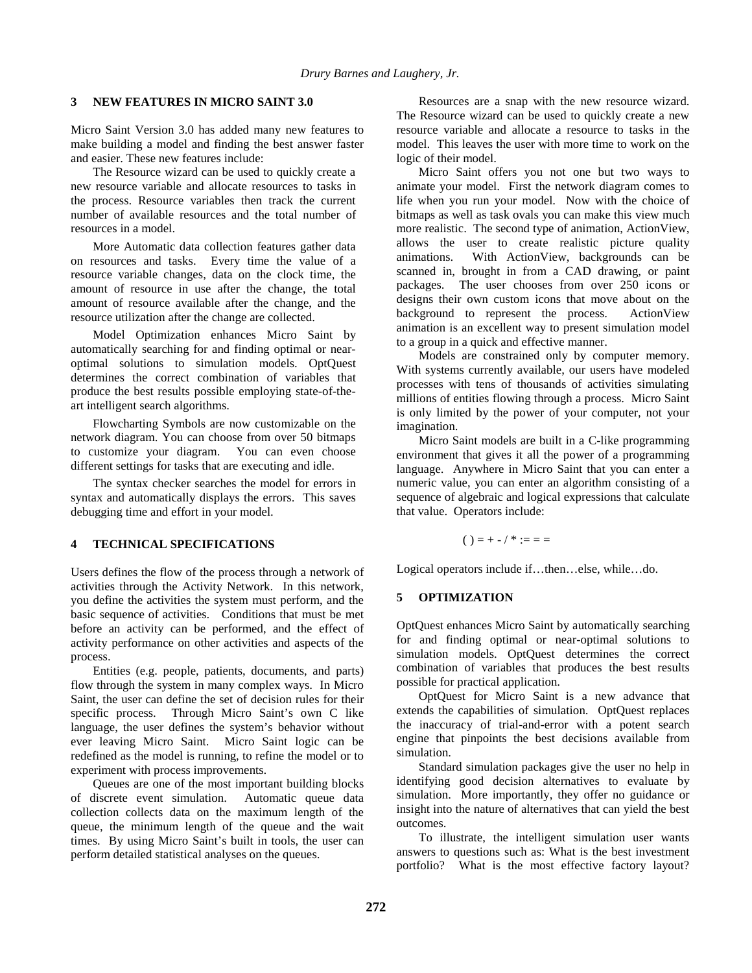### **3 NEW FEATURES IN MICRO SAINT 3.0**

Micro Saint Version 3.0 has added many new features to make building a model and finding the best answer faster and easier. These new features include:

The Resource wizard can be used to quickly create a new resource variable and allocate resources to tasks in the process. Resource variables then track the current number of available resources and the total number of resources in a model.

More Automatic data collection features gather data on resources and tasks. Every time the value of a resource variable changes, data on the clock time, the amount of resource in use after the change, the total amount of resource available after the change, and the resource utilization after the change are collected.

Model Optimization enhances Micro Saint by automatically searching for and finding optimal or nearoptimal solutions to simulation models. OptQuest determines the correct combination of variables that produce the best results possible employing state-of-theart intelligent search algorithms.

Flowcharting Symbols are now customizable on the network diagram. You can choose from over 50 bitmaps to customize your diagram. You can even choose different settings for tasks that are executing and idle.

The syntax checker searches the model for errors in syntax and automatically displays the errors. This saves debugging time and effort in your model.

# **4 TECHNICAL SPECIFICATIONS**

Users defines the flow of the process through a network of activities through the Activity Network. In this network, you define the activities the system must perform, and the basic sequence of activities. Conditions that must be met before an activity can be performed, and the effect of activity performance on other activities and aspects of the process.

Entities (e.g. people, patients, documents, and parts) flow through the system in many complex ways. In Micro Saint, the user can define the set of decision rules for their specific process. Through Micro Saint's own C like language, the user defines the system's behavior without ever leaving Micro Saint. Micro Saint logic can be redefined as the model is running, to refine the model or to experiment with process improvements.

Queues are one of the most important building blocks of discrete event simulation. Automatic queue data collection collects data on the maximum length of the queue, the minimum length of the queue and the wait times. By using Micro Saint's built in tools, the user can perform detailed statistical analyses on the queues.

Resources are a snap with the new resource wizard. The Resource wizard can be used to quickly create a new resource variable and allocate a resource to tasks in the model. This leaves the user with more time to work on the logic of their model.

Micro Saint offers you not one but two ways to animate your model. First the network diagram comes to life when you run your model. Now with the choice of bitmaps as well as task ovals you can make this view much more realistic. The second type of animation, ActionView, allows the user to create realistic picture quality animations. With ActionView, backgrounds can be scanned in, brought in from a CAD drawing, or paint packages. The user chooses from over 250 icons or designs their own custom icons that move about on the background to represent the process. ActionView animation is an excellent way to present simulation model to a group in a quick and effective manner.

Models are constrained only by computer memory. With systems currently available, our users have modeled processes with tens of thousands of activities simulating millions of entities flowing through a process. Micro Saint is only limited by the power of your computer, not your imagination.

Micro Saint models are built in a C-like programming environment that gives it all the power of a programming language. Anywhere in Micro Saint that you can enter a numeric value, you can enter an algorithm consisting of a sequence of algebraic and logical expressions that calculate that value. Operators include:

$$
(\,\,)=+ -\,/\stackrel{*}{\,}:=\ ==
$$

Logical operators include if…then…else, while…do.

#### **5 OPTIMIZATION**

OptQuest enhances Micro Saint by automatically searching for and finding optimal or near-optimal solutions to simulation models. OptQuest determines the correct combination of variables that produces the best results possible for practical application.

 OptQuest for Micro Saint is a new advance that extends the capabilities of simulation. OptQuest replaces the inaccuracy of trial-and-error with a potent search engine that pinpoints the best decisions available from simulation.

Standard simulation packages give the user no help in identifying good decision alternatives to evaluate by simulation. More importantly, they offer no guidance or insight into the nature of alternatives that can yield the best outcomes.

To illustrate, the intelligent simulation user wants answers to questions such as: What is the best investment portfolio? What is the most effective factory layout?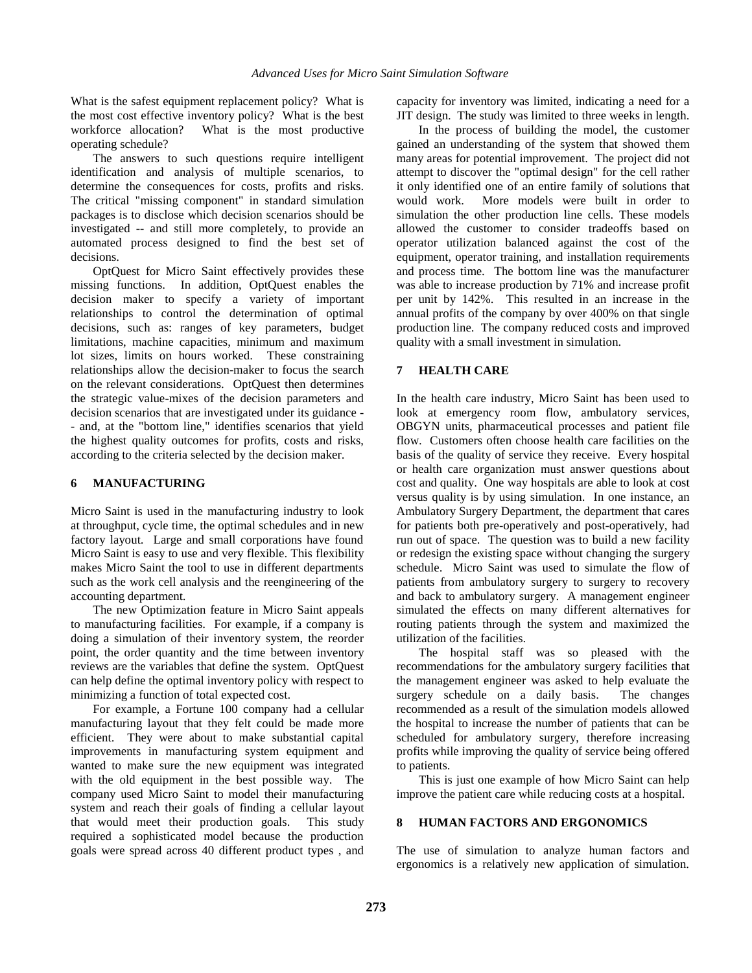What is the safest equipment replacement policy? What is the most cost effective inventory policy? What is the best workforce allocation? What is the most productive operating schedule?

The answers to such questions require intelligent identification and analysis of multiple scenarios, to determine the consequences for costs, profits and risks. The critical "missing component" in standard simulation packages is to disclose which decision scenarios should be investigated -- and still more completely, to provide an automated process designed to find the best set of decisions.

OptQuest for Micro Saint effectively provides these missing functions. In addition, OptQuest enables the decision maker to specify a variety of important relationships to control the determination of optimal decisions, such as: ranges of key parameters, budget limitations, machine capacities, minimum and maximum lot sizes, limits on hours worked. These constraining relationships allow the decision-maker to focus the search on the relevant considerations. OptQuest then determines the strategic value-mixes of the decision parameters and decision scenarios that are investigated under its guidance - - and, at the "bottom line," identifies scenarios that yield the highest quality outcomes for profits, costs and risks, according to the criteria selected by the decision maker.

# **6 MANUFACTURING**

Micro Saint is used in the manufacturing industry to look at throughput, cycle time, the optimal schedules and in new factory layout. Large and small corporations have found Micro Saint is easy to use and very flexible. This flexibility makes Micro Saint the tool to use in different departments such as the work cell analysis and the reengineering of the accounting department.

The new Optimization feature in Micro Saint appeals to manufacturing facilities. For example, if a company is doing a simulation of their inventory system, the reorder point, the order quantity and the time between inventory reviews are the variables that define the system. OptQuest can help define the optimal inventory policy with respect to minimizing a function of total expected cost.

For example, a Fortune 100 company had a cellular manufacturing layout that they felt could be made more efficient. They were about to make substantial capital improvements in manufacturing system equipment and wanted to make sure the new equipment was integrated with the old equipment in the best possible way. The company used Micro Saint to model their manufacturing system and reach their goals of finding a cellular layout that would meet their production goals. This study required a sophisticated model because the production goals were spread across 40 different product types , and capacity for inventory was limited, indicating a need for a JIT design. The study was limited to three weeks in length.

In the process of building the model, the customer gained an understanding of the system that showed them many areas for potential improvement. The project did not attempt to discover the "optimal design" for the cell rather it only identified one of an entire family of solutions that would work. More models were built in order to simulation the other production line cells. These models allowed the customer to consider tradeoffs based on operator utilization balanced against the cost of the equipment, operator training, and installation requirements and process time. The bottom line was the manufacturer was able to increase production by 71% and increase profit per unit by 142%. This resulted in an increase in the annual profits of the company by over 400% on that single production line. The company reduced costs and improved quality with a small investment in simulation.

# **7 HEALTH CARE**

In the health care industry, Micro Saint has been used to look at emergency room flow, ambulatory services, OBGYN units, pharmaceutical processes and patient file flow. Customers often choose health care facilities on the basis of the quality of service they receive. Every hospital or health care organization must answer questions about cost and quality. One way hospitals are able to look at cost versus quality is by using simulation. In one instance, an Ambulatory Surgery Department, the department that cares for patients both pre-operatively and post-operatively, had run out of space. The question was to build a new facility or redesign the existing space without changing the surgery schedule. Micro Saint was used to simulate the flow of patients from ambulatory surgery to surgery to recovery and back to ambulatory surgery. A management engineer simulated the effects on many different alternatives for routing patients through the system and maximized the utilization of the facilities.

The hospital staff was so pleased with the recommendations for the ambulatory surgery facilities that the management engineer was asked to help evaluate the surgery schedule on a daily basis. The changes recommended as a result of the simulation models allowed the hospital to increase the number of patients that can be scheduled for ambulatory surgery, therefore increasing profits while improving the quality of service being offered to patients.

This is just one example of how Micro Saint can help improve the patient care while reducing costs at a hospital.

### **8 HUMAN FACTORS AND ERGONOMICS**

The use of simulation to analyze human factors and ergonomics is a relatively new application of simulation.